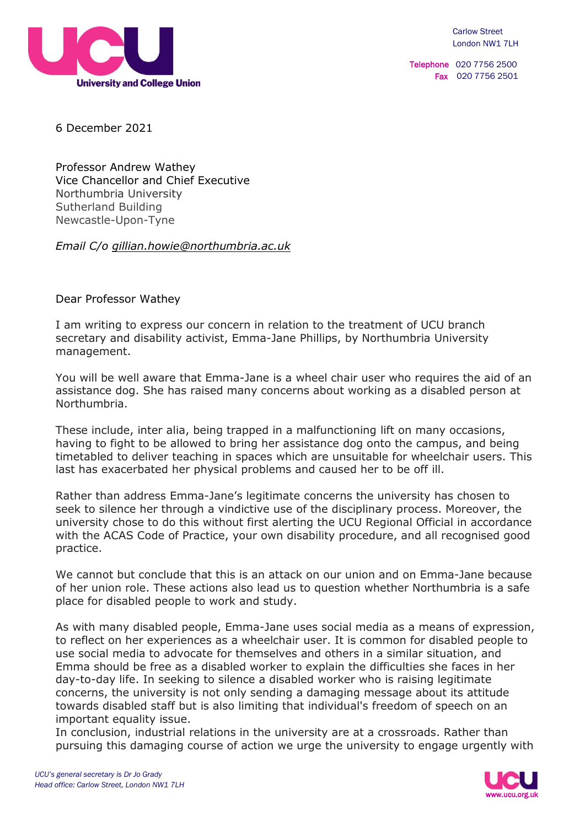

Telephone 020 7756 2500 Fax 020 7756 2501

6 December 2021

Professor Andrew Wathey Vice Chancellor and Chief Executive Northumbria University Sutherland Building Newcastle-Upon-Tyne

*Email C/o [gillian.howie@northumbria.ac.uk](mailto:gillian.howie@northumbria.ac.uk)*

Dear Professor Wathey

I am writing to express our concern in relation to the treatment of UCU branch secretary and disability activist, Emma-Jane Phillips, by Northumbria University management.

You will be well aware that Emma-Jane is a wheel chair user who requires the aid of an assistance dog. She has raised many concerns about working as a disabled person at Northumbria.

These include, inter alia, being trapped in a malfunctioning lift on many occasions, having to fight to be allowed to bring her assistance dog onto the campus, and being timetabled to deliver teaching in spaces which are unsuitable for wheelchair users. This last has exacerbated her physical problems and caused her to be off ill.

Rather than address Emma-Jane's legitimate concerns the university has chosen to seek to silence her through a vindictive use of the disciplinary process. Moreover, the university chose to do this without first alerting the UCU Regional Official in accordance with the ACAS Code of Practice, your own disability procedure, and all recognised good practice.

We cannot but conclude that this is an attack on our union and on Emma-Jane because of her union role. These actions also lead us to question whether Northumbria is a safe place for disabled people to work and study.

As with many disabled people, Emma-Jane uses social media as a means of expression, to reflect on her experiences as a wheelchair user. It is common for disabled people to use social media to advocate for themselves and others in a similar situation, and Emma should be free as a disabled worker to explain the difficulties she faces in her day-to-day life. In seeking to silence a disabled worker who is raising legitimate concerns, the university is not only sending a damaging message about its attitude towards disabled staff but is also limiting that individual's freedom of speech on an important equality issue.

In conclusion, industrial relations in the university are at a crossroads. Rather than pursuing this damaging course of action we urge the university to engage urgently with